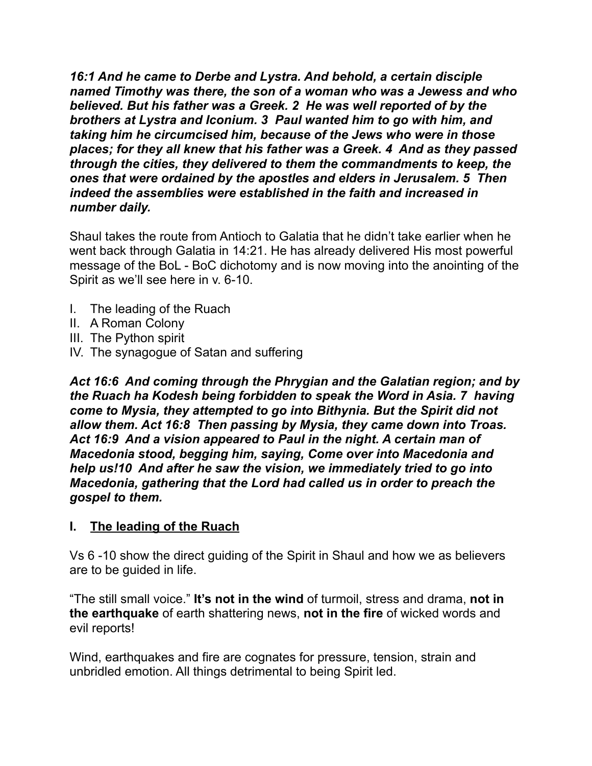*16:1 And he came to Derbe and Lystra. And behold, a certain disciple named Timothy was there, the son of a woman who was a Jewess and who believed. But his father was a Greek. 2 He was well reported of by the brothers at Lystra and Iconium. 3 Paul wanted him to go with him, and taking him he circumcised him, because of the Jews who were in those places; for they all knew that his father was a Greek. 4 And as they passed through the cities, they delivered to them the commandments to keep, the ones that were ordained by the apostles and elders in Jerusalem. 5 Then indeed the assemblies were established in the faith and increased in number daily.* 

Shaul takes the route from Antioch to Galatia that he didn't take earlier when he went back through Galatia in 14:21. He has already delivered His most powerful message of the BoL - BoC dichotomy and is now moving into the anointing of the Spirit as we'll see here in v. 6-10.

- I. The leading of the Ruach
- II. A Roman Colony
- III. The Python spirit
- IV. The synagogue of Satan and suffering

*Act 16:6 And coming through the Phrygian and the Galatian region; and by the Ruach ha Kodesh being forbidden to speak the Word in Asia. 7 having come to Mysia, they attempted to go into Bithynia. But the Spirit did not allow them. Act 16:8 Then passing by Mysia, they came down into Troas. Act 16:9 And a vision appeared to Paul in the night. A certain man of Macedonia stood, begging him, saying, Come over into Macedonia and help us!10 And after he saw the vision, we immediately tried to go into Macedonia, gathering that the Lord had called us in order to preach the gospel to them.* 

#### **I. The leading of the Ruach**

Vs 6 -10 show the direct guiding of the Spirit in Shaul and how we as believers are to be guided in life.

"The still small voice." **It's not in the wind** of turmoil, stress and drama, **not in the earthquake** of earth shattering news, **not in the fire** of wicked words and evil reports!

Wind, earthquakes and fire are cognates for pressure, tension, strain and unbridled emotion. All things detrimental to being Spirit led.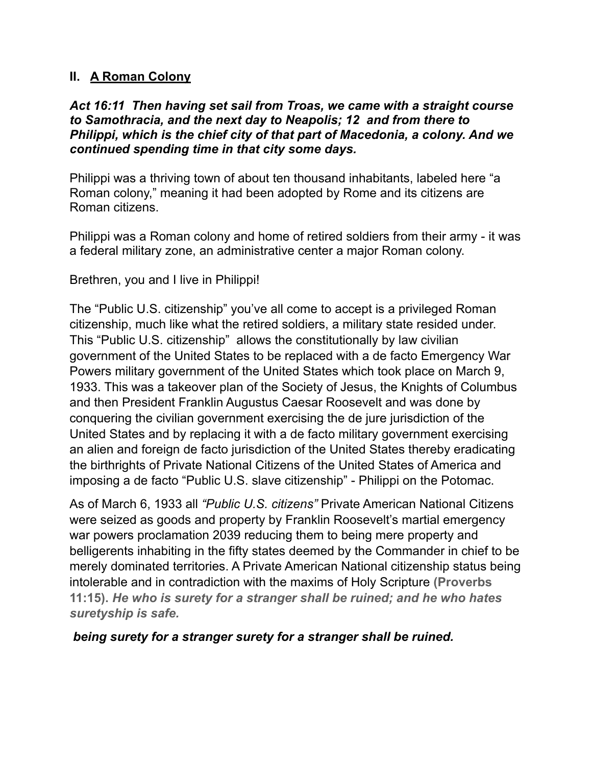### **II. A Roman Colony**

#### *Act 16:11 Then having set sail from Troas, we came with a straight course to Samothracia, and the next day to Neapolis; 12 and from there to Philippi, which is the chief city of that part of Macedonia, a colony. And we continued spending time in that city some days.*

Philippi was a thriving town of about ten thousand inhabitants, labeled here "a Roman colony," meaning it had been adopted by Rome and its citizens are Roman citizens.

Philippi was a Roman colony and home of retired soldiers from their army - it was a federal military zone, an administrative center a major Roman colony.

Brethren, you and I live in Philippi!

The "Public U.S. citizenship" you've all come to accept is a privileged Roman citizenship, much like what the retired soldiers, a military state resided under. This "Public U.S. citizenship" allows the constitutionally by law civilian government of the United States to be replaced with a de facto Emergency War Powers military government of the United States which took place on March 9, 1933. This was a takeover plan of the Society of Jesus, the Knights of Columbus and then President Franklin Augustus Caesar Roosevelt and was done by conquering the civilian government exercising the de jure jurisdiction of the United States and by replacing it with a de facto military government exercising an alien and foreign de facto jurisdiction of the United States thereby eradicating the birthrights of Private National Citizens of the United States of America and imposing a de facto "Public U.S. slave citizenship" - Philippi on the Potomac.

As of March 6, 1933 all *"Public U.S. citizens"* Private American National Citizens were seized as goods and property by Franklin Roosevelt's martial emergency war powers proclamation 2039 reducing them to being mere property and belligerents inhabiting in the fifty states deemed by the Commander in chief to be merely dominated territories. A Private American National citizenship status being intolerable and in contradiction with the maxims of Holy Scripture **(Proverbs 11:15).** *He who is surety for a stranger shall be ruined; and he who hates suretyship is safe.* 

 *being surety for a stranger surety for a stranger shall be ruined.*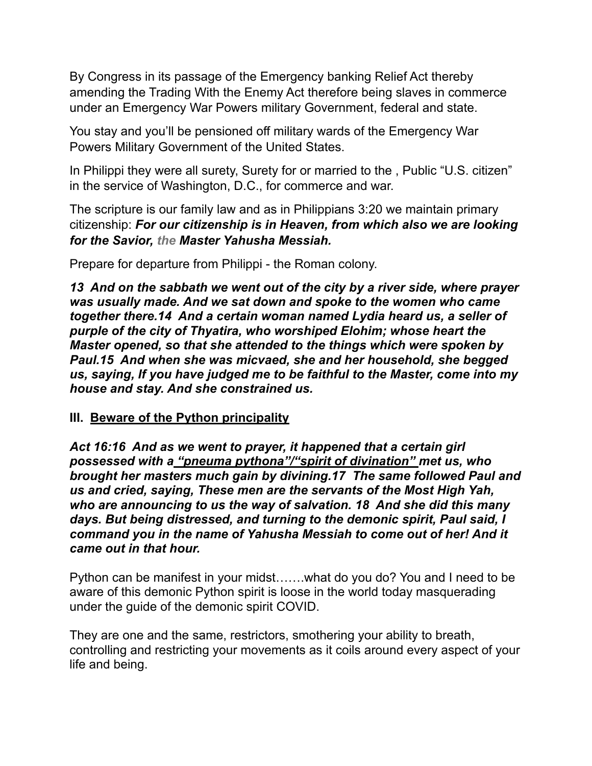By Congress in its passage of the Emergency banking Relief Act thereby amending the Trading With the Enemy Act therefore being slaves in commerce under an Emergency War Powers military Government, federal and state.

You stay and you'll be pensioned off military wards of the Emergency War Powers Military Government of the United States.

In Philippi they were all surety, Surety for or married to the, Public "U.S. citizen" in the service of Washington, D.C., for commerce and war.

The scripture is our family law and as in Philippians 3:20 we maintain primary citizenship: *For our citizenship is in Heaven, from which also we are looking for the Savior, the Master Yahusha Messiah.*

Prepare for departure from Philippi - the Roman colony.

*13 And on the sabbath we went out of the city by a river side, where prayer was usually made. And we sat down and spoke to the women who came together there.14 And a certain woman named Lydia heard us, a seller of purple of the city of Thyatira, who worshiped Elohim; whose heart the Master opened, so that she attended to the things which were spoken by Paul.15 And when she was micvaed, she and her household, she begged us, saying, If you have judged me to be faithful to the Master, come into my house and stay. And she constrained us.* 

## **III. Beware of the Python principality**

*Act 16:16 And as we went to prayer, it happened that a certain girl possessed with a "pneuma pythona"/"spirit of divination" met us, who brought her masters much gain by divining.17 The same followed Paul and us and cried, saying, These men are the servants of the Most High Yah, who are announcing to us the way of salvation. 18 And she did this many days. But being distressed, and turning to the demonic spirit, Paul said, I command you in the name of Yahusha Messiah to come out of her! And it came out in that hour.* 

Python can be manifest in your midst…….what do you do? You and I need to be aware of this demonic Python spirit is loose in the world today masquerading under the guide of the demonic spirit COVID.

They are one and the same, restrictors, smothering your ability to breath, controlling and restricting your movements as it coils around every aspect of your life and being.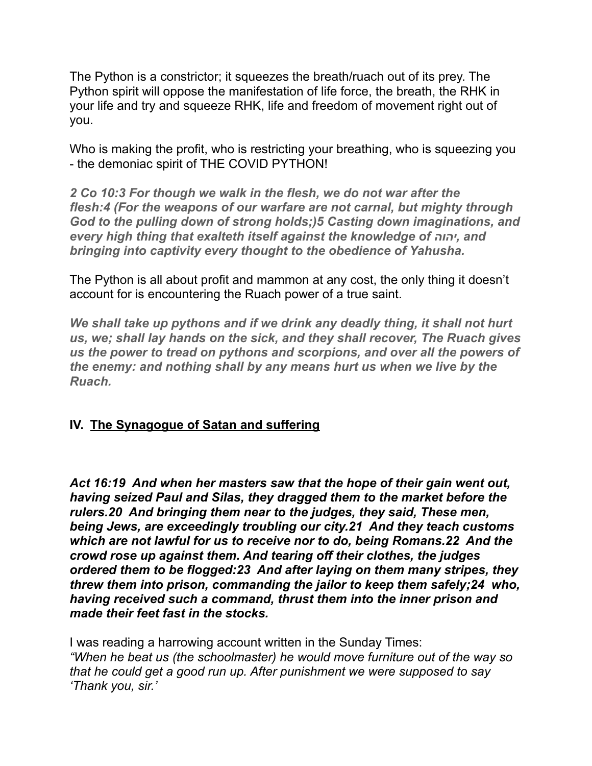The Python is a constrictor; it squeezes the breath/ruach out of its prey. The Python spirit will oppose the manifestation of life force, the breath, the RHK in your life and try and squeeze RHK, life and freedom of movement right out of you.

Who is making the profit, who is restricting your breathing, who is squeezing you - the demoniac spirit of THE COVID PYTHON!

*2 Co 10:3 For though we walk in the flesh, we do not war after the flesh:4 (For the weapons of our warfare are not carnal, but mighty through God to the pulling down of strong holds;)5 Casting down imaginations, and every high thing that exalteth itself against the knowledge of יהוה, and bringing into captivity every thought to the obedience of Yahusha.* 

The Python is all about profit and mammon at any cost, the only thing it doesn't account for is encountering the Ruach power of a true saint.

*We shall take up pythons and if we drink any deadly thing, it shall not hurt us, we; shall lay hands on the sick, and they shall recover, The Ruach gives us the power to tread on pythons and scorpions, and over all the powers of the enemy: and nothing shall by any means hurt us when we live by the Ruach.* 

# **IV. The Synagogue of Satan and suffering**

*Act 16:19 And when her masters saw that the hope of their gain went out, having seized Paul and Silas, they dragged them to the market before the rulers.20 And bringing them near to the judges, they said, These men, being Jews, are exceedingly troubling our city.21 And they teach customs which are not lawful for us to receive nor to do, being Romans.22 And the crowd rose up against them. And tearing off their clothes, the judges ordered them to be flogged:23 And after laying on them many stripes, they threw them into prison, commanding the jailor to keep them safely;24 who, having received such a command, thrust them into the inner prison and made their feet fast in the stocks.* 

I was reading a harrowing account written in the Sunday Times: *"When he beat us (the schoolmaster) he would move furniture out of the way so that he could get a good run up. After punishment we were supposed to say 'Thank you, sir.'*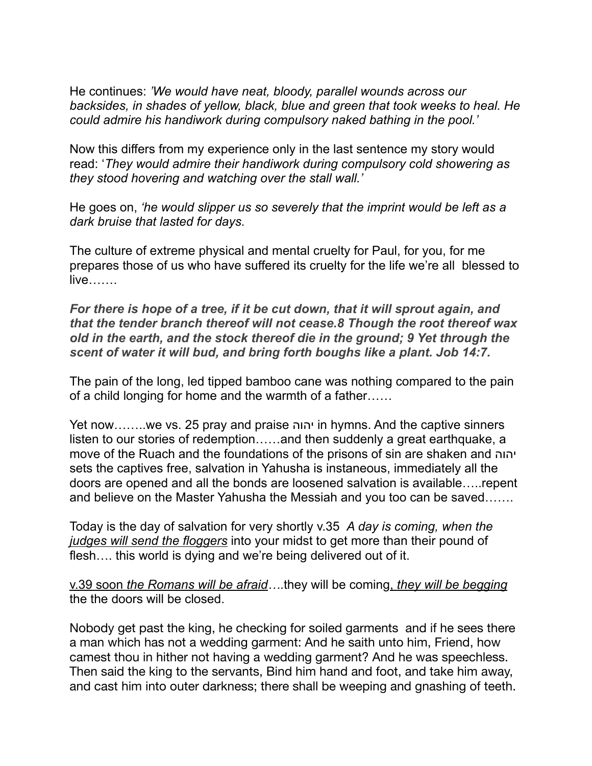He continues: *'We would have neat, bloody, parallel wounds across our backsides, in shades of yellow, black, blue and green that took weeks to heal. He could admire his handiwork during compulsory naked bathing in the pool.'* 

Now this differs from my experience only in the last sentence my story would read: '*They would admire their handiwork during compulsory cold showering as they stood hovering and watching over the stall wall.'* 

He goes on, *'he would slipper us so severely that the imprint would be left as a dark bruise that lasted for days.* 

The culture of extreme physical and mental cruelty for Paul, for you, for me prepares those of us who have suffered its cruelty for the life we're all blessed to live…….

*For there is hope of a tree, if it be cut down, that it will sprout again, and that the tender branch thereof will not cease.8 Though the root thereof wax old in the earth, and the stock thereof die in the ground; 9 Yet through the scent of water it will bud, and bring forth boughs like a plant. Job 14:7.* 

The pain of the long, led tipped bamboo cane was nothing compared to the pain of a child longing for home and the warmth of a father……

Yet now……..we vs. 25 pray and praise יהוה in hymns. And the captive sinners listen to our stories of redemption……and then suddenly a great earthquake, a move of the Ruach and the foundations of the prisons of sin are shaken and יהוה sets the captives free, salvation in Yahusha is instaneous, immediately all the doors are opened and all the bonds are loosened salvation is available…..repent and believe on the Master Yahusha the Messiah and you too can be saved…….

Today is the day of salvation for very shortly v.35 *A day is coming, when the judges will send the floggers* into your midst to get more than their pound of flesh.... this world is dying and we're being delivered out of it.

v.39 soon *the Romans will be afraid…*.they will be coming, *they will be begging*  the the doors will be closed.

Nobody get past the king, he checking for soiled garments and if he sees there a man which has not a wedding garment: And he saith unto him, Friend, how camest thou in hither not having a wedding garment? And he was speechless. Then said the king to the servants, Bind him hand and foot, and take him away, and cast him into outer darkness; there shall be weeping and gnashing of teeth.